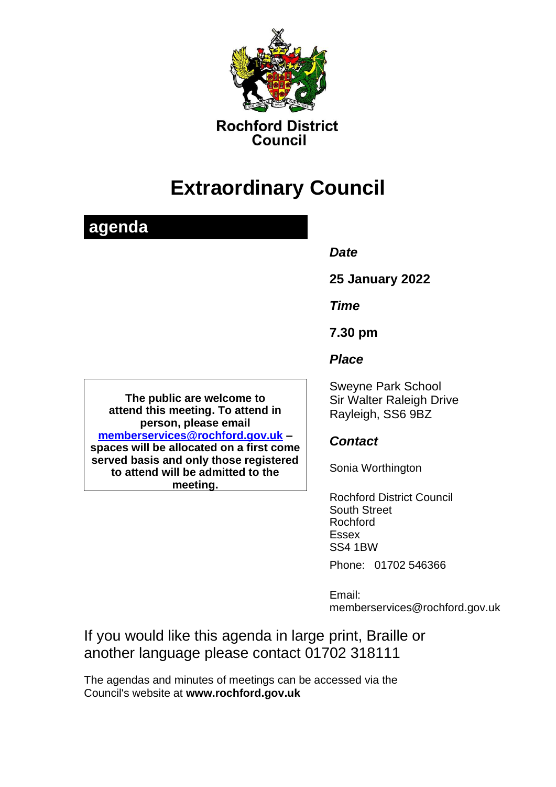

**Rochford District** Council

# **Extraordinary Council**

## **agenda**

#### *Date*

**25 January 2022**

*Time*

**7.30 pm**

*Place*

**The public are welcome to attend this meeting. To attend in person, please email [memberservices@rochford.gov.uk](mailto:memberservices@rochford.gov.uk) – spaces will be allocated on a first come served basis and only those registered to attend will be admitted to the meeting.**

Sweyne Park School Sir Walter Raleigh Drive Rayleigh, SS6 9BZ

### *Contact*

Sonia Worthington

Rochford District Council South Street Rochford Essex SS4 1BW

Phone: 01702 546366

Email: memberservices@rochford.gov.uk

If you would like this agenda in large print, Braille or another language please contact 01702 318111

The agendas and minutes of meetings can be accessed via the Council's website at **[www.rochford.gov.uk](http://www.rochford.gov.uk/)**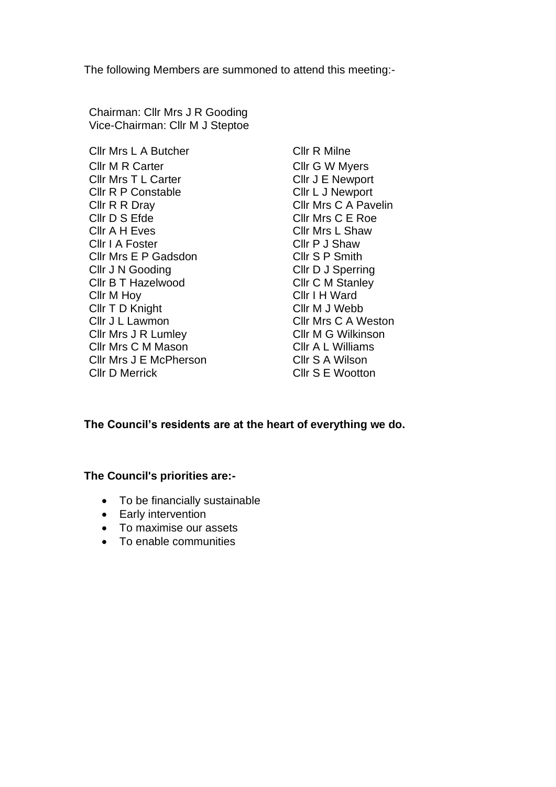The following Members are summoned to attend this meeting:-

Chairman: Cllr Mrs J R Gooding Vice-Chairman: Cllr M J Steptoe

Cllr Mrs L A Butcher Cllr R Milne Cllr M R Carter Cllr G W Myers Cllr Mrs T L Carter Cllr J E Newport Cllr R P Constable Cllr L J Newport Cllr R R Dray Cllr Mrs C A Pavelin Cllr D S Efde Cllr Mrs C E Roe Cllr A H Eves Cllr Mrs L Shaw Cllr I A Foster Cllr P J Shaw Cllr Mrs E P Gadsdon Cllr S P Smith Cllr J N Gooding Cllr D J Sperring Cllr B T Hazelwood Cllr C M Stanley Cllr M Hoy Cllr I H Ward Cllr T D Knight Cllr M J Webb Cllr J L Lawmon Cllr Mrs C A Weston Cllr Mrs J R Lumley Cllr M G Wilkinson Cllr Mrs C M Mason Cllr A L Williams Cllr Mrs J E McPherson Cllr S A Wilson Cllr D Merrick Cllr S E Wootton

#### **The Council's residents are at the heart of everything we do.**

#### **The Council's priorities are:-**

- To be financially sustainable
- Early intervention
- To maximise our assets
- To enable communities